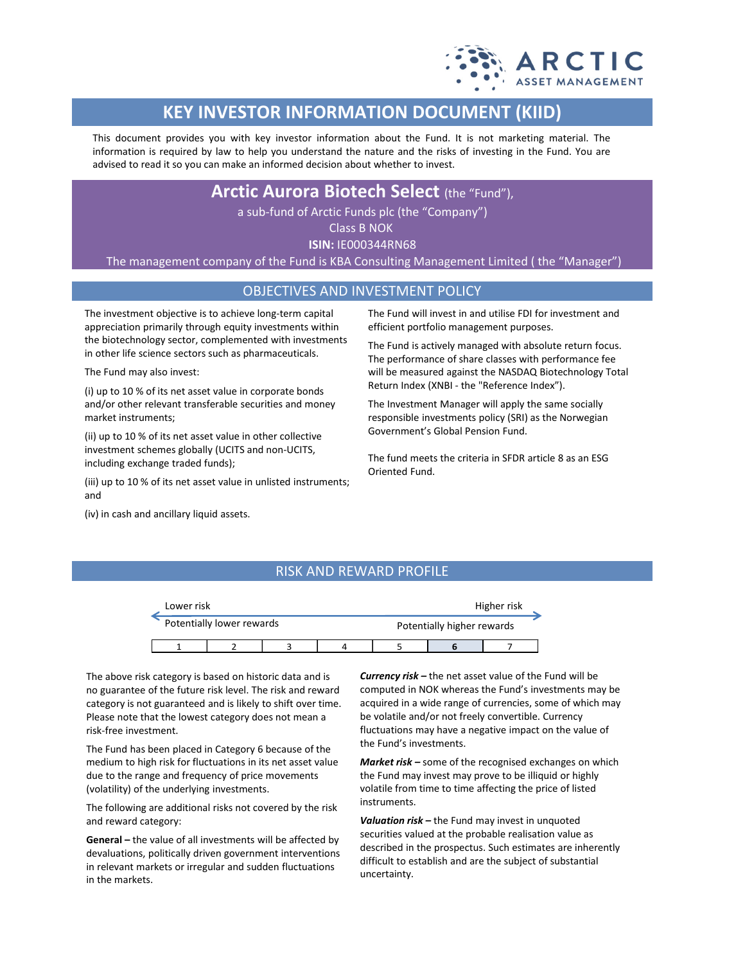

# **KEY INVESTOR INFORMATION DOCUMENT (KIID)**

This document provides you with key investor information about the Fund. It is not marketing material. The information is required by law to help you understand the nature and the risks of investing in the Fund. You are advised to read it so you can make an informed decision about whether to invest.

**Arctic Aurora Biotech Select** (the "Fund"),

a sub-fund of Arctic Funds plc (the "Company")

Class B NOK

**ISIN:** IE000344RN68

The management company of the Fund is KBA Consulting Management Limited ( the "Manager")

### OBJECTIVES AND INVESTMENT POLICY

The investment objective is to achieve long-term capital appreciation primarily through equity investments within the biotechnology sector, complemented with investments in other life science sectors such as pharmaceuticals.

The Fund may also invest:

(i) up to 10 % of its net asset value in corporate bonds and/or other relevant transferable securities and money market instruments;

(ii) up to 10 % of its net asset value in other collective investment schemes globally (UCITS and non-UCITS, including exchange traded funds);

(iii) up to 10 % of its net asset value in unlisted instruments; and

(iv) in cash and ancillary liquid assets.

The Fund will invest in and utilise FDI for investment and efficient portfolio management purposes.

The Fund is actively managed with absolute return focus. The performance of share classes with performance fee will be measured against the NASDAQ Biotechnology Total Return Index (XNBI - the "Reference Index").

The Investment Manager will apply the same socially responsible investments policy (SRI) as the Norwegian Government's Global Pension Fund.

The fund meets the criteria in SFDR article 8 as an ESG Oriented Fund.

## RISK AND REWARD PROFILE

| Lower risk                |  |  | Higher risk |  |                            |  |  |
|---------------------------|--|--|-------------|--|----------------------------|--|--|
| Potentially lower rewards |  |  |             |  | Potentially higher rewards |  |  |
|                           |  |  |             |  |                            |  |  |

The above risk category is based on historic data and is no guarantee of the future risk level. The risk and reward category is not guaranteed and is likely to shift over time. Please note that the lowest category does not mean a risk-free investment.

The Fund has been placed in Category 6 because of the medium to high risk for fluctuations in its net asset value due to the range and frequency of price movements (volatility) of the underlying investments.

The following are additional risks not covered by the risk and reward category:

**General –** the value of all investments will be affected by devaluations, politically driven government interventions in relevant markets or irregular and sudden fluctuations in the markets.

*Currency risk –* the net asset value of the Fund will be computed in NOK whereas the Fund's investments may be acquired in a wide range of currencies, some of which may be volatile and/or not freely convertible. Currency fluctuations may have a negative impact on the value of the Fund's investments.

*Market risk –* some of the recognised exchanges on which the Fund may invest may prove to be illiquid or highly volatile from time to time affecting the price of listed instruments.

*Valuation risk –* the Fund may invest in unquoted securities valued at the probable realisation value as described in the prospectus. Such estimates are inherently difficult to establish and are the subject of substantial uncertainty.